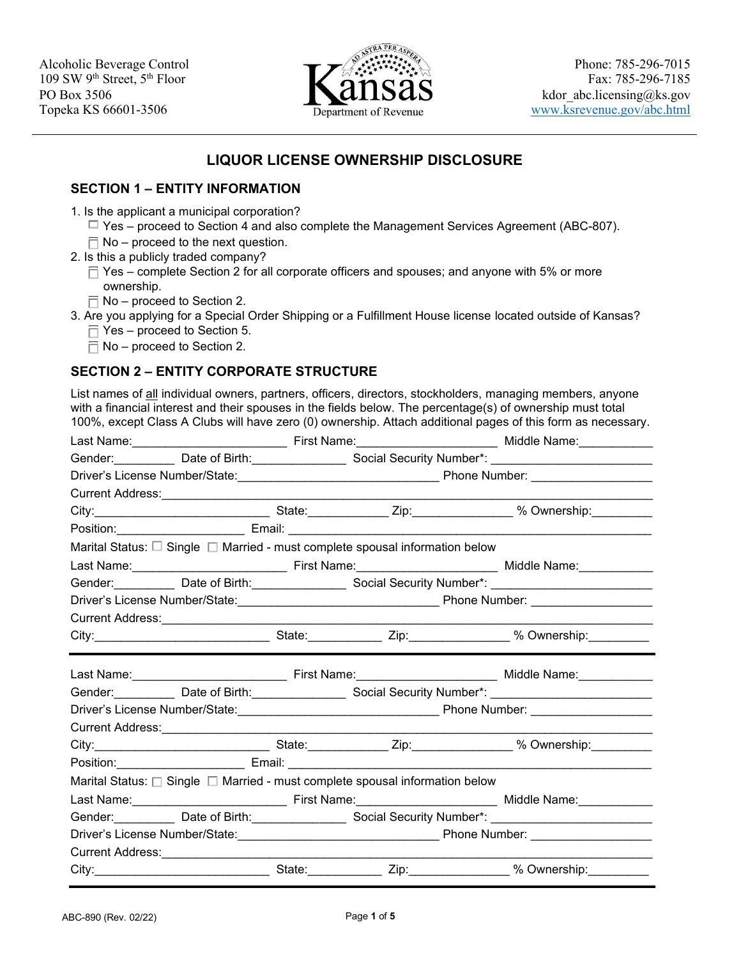

# **LIQUOR LICENSE OWNERSHIP DISCLOSURE**

### **SECTION 1 – ENTITY INFORMATION**

- 1. Is the applicant a municipal corporation?
	- ☐ Yes proceed to Section 4 and also complete the Management Services Agreement (ABC-807).
	- $\overline{\Box}$  No proceed to the next question.
- 2. Is this a publicly traded company?
	- $\Box$  Yes complete Section 2 for all corporate officers and spouses; and anyone with 5% or more ownership.
	- $\Box$  No proceed to Section 2.
- 3. Are you applying for a Special Order Shipping or a Fulfillment House license located outside of Kansas?
	- $\Box$  Yes proceed to Section 5.
	- $\Box$  No proceed to Section 2.

## **SECTION 2 – ENTITY CORPORATE STRUCTURE**

List names of all individual owners, partners, officers, directors, stockholders, managing members, anyone with a financial interest and their spouses in the fields below. The percentage(s) of ownership must total 100%, except Class A Clubs will have zero (0) ownership. Attach additional pages of this form as necessary.

|  |  |  |                                                                                        | Gender:_____________Date of Birth:_______________________Social Security Number*: ____________________________ |  |
|--|--|--|----------------------------------------------------------------------------------------|----------------------------------------------------------------------------------------------------------------|--|
|  |  |  |                                                                                        |                                                                                                                |  |
|  |  |  |                                                                                        |                                                                                                                |  |
|  |  |  |                                                                                        | City:___________________________________State:_______________Zip:_________________% Ownership:___________      |  |
|  |  |  |                                                                                        |                                                                                                                |  |
|  |  |  | Marital Status: $\Box$ Single $\Box$ Married - must complete spousal information below |                                                                                                                |  |
|  |  |  |                                                                                        |                                                                                                                |  |
|  |  |  |                                                                                        | Gender: Date of Birth: Second Social Security Number*: Connection Connection Connection Connection Connection  |  |
|  |  |  |                                                                                        |                                                                                                                |  |
|  |  |  |                                                                                        |                                                                                                                |  |
|  |  |  |                                                                                        | City:___________________________________State:_______________Zip:_________________% Ownership:___________      |  |
|  |  |  |                                                                                        |                                                                                                                |  |
|  |  |  |                                                                                        | Gender:_____________Date of Birth:_____________________Social Security Number*: ______________________________ |  |
|  |  |  |                                                                                        | Driver's License Number/State:__________________________________Phone Number: ____________________             |  |
|  |  |  |                                                                                        |                                                                                                                |  |
|  |  |  |                                                                                        |                                                                                                                |  |
|  |  |  |                                                                                        |                                                                                                                |  |
|  |  |  |                                                                                        | City:___________________________________State:_______________Zip:_________________% Ownership:___________      |  |
|  |  |  | Marital Status: $\Box$ Single $\Box$ Married - must complete spousal information below |                                                                                                                |  |
|  |  |  |                                                                                        |                                                                                                                |  |
|  |  |  |                                                                                        | Gender: Date of Birth: Superstanding Social Security Number*: Containery Munder 2014                           |  |
|  |  |  |                                                                                        | Driver's License Number/State:_________________________________Phone Number: _____________________             |  |
|  |  |  |                                                                                        |                                                                                                                |  |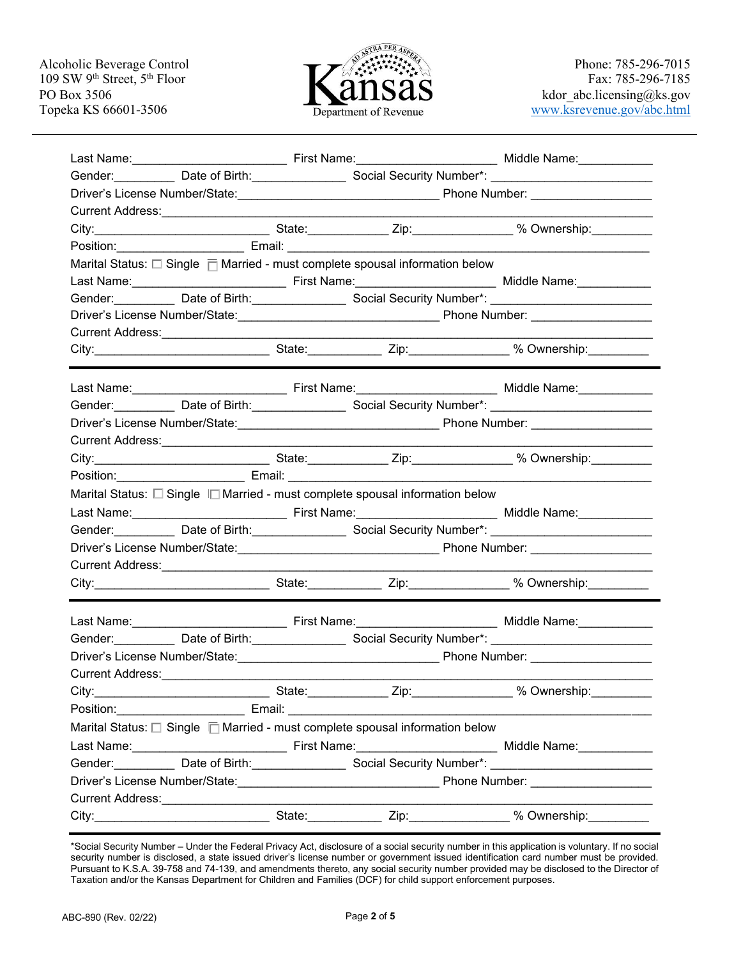

| Gender: Date of Birth: Secial Security Number*: Containment and District Contains a District Contains and District<br>Marital Status: $\square$ Single $\overline{\square}$ Married - must complete spousal information below<br>Gender: Date of Birth: Secial Security Number*: Containment Contains and District Contains and District Contain<br>Gender: <b>Manual Contract Dealer of Birth: Manual Security Number*: Manual Contract Contract Dealer Contract Contract Dealer Contract Contract Dealer Contract Dealer Contract Dealer Contract Dealer Contract Dealer Contr</b><br>Current Address: <u>Carrier and Current Address:</u><br>Marital Status: $\Box$ Single $\Box$ Married - must complete spousal information below<br>Gender:______________Date of Birth:______________________Social Security Number*: ____________________________<br>Current Address: <u>Carrier and Current Address:</u><br><u> 1990 - Johann Barbara, martx</u><br>City: City: City: Culture Communication of the State: City: City: City: City: Culture of the State: City: City<br>Last Name: <u>New York: Name: Name: Name: Niddle Name: Niddle Name: Niddle Name: Niddle Name: Niddle Name: Niddle Name: Niddle Name: Niddle Name: Niddle Name: Niddle Name: Niddle Name: Niddle Name: Niddle Name: Niddle Name: </u><br>Gender: Date of Birth: Secret 20 Social Security Number*: Containment Containing the Date of Birth:<br>Marital Status: $\square$ Single $\square$ Married - must complete spousal information below<br>Gender: Date of Birth: Secial Security Number*: Containment Containing the Date of Birth: | Fax: 785-296-7185<br>kdor abc.licensing@ks.gov<br>www.ksrevenue.gov/abc.html |  |
|------------------------------------------------------------------------------------------------------------------------------------------------------------------------------------------------------------------------------------------------------------------------------------------------------------------------------------------------------------------------------------------------------------------------------------------------------------------------------------------------------------------------------------------------------------------------------------------------------------------------------------------------------------------------------------------------------------------------------------------------------------------------------------------------------------------------------------------------------------------------------------------------------------------------------------------------------------------------------------------------------------------------------------------------------------------------------------------------------------------------------------------------------------------------------------------------------------------------------------------------------------------------------------------------------------------------------------------------------------------------------------------------------------------------------------------------------------------------------------------------------------------------------------------------------------------------------------------------------------------------|------------------------------------------------------------------------------|--|
|                                                                                                                                                                                                                                                                                                                                                                                                                                                                                                                                                                                                                                                                                                                                                                                                                                                                                                                                                                                                                                                                                                                                                                                                                                                                                                                                                                                                                                                                                                                                                                                                                        |                                                                              |  |
|                                                                                                                                                                                                                                                                                                                                                                                                                                                                                                                                                                                                                                                                                                                                                                                                                                                                                                                                                                                                                                                                                                                                                                                                                                                                                                                                                                                                                                                                                                                                                                                                                        |                                                                              |  |
|                                                                                                                                                                                                                                                                                                                                                                                                                                                                                                                                                                                                                                                                                                                                                                                                                                                                                                                                                                                                                                                                                                                                                                                                                                                                                                                                                                                                                                                                                                                                                                                                                        |                                                                              |  |
|                                                                                                                                                                                                                                                                                                                                                                                                                                                                                                                                                                                                                                                                                                                                                                                                                                                                                                                                                                                                                                                                                                                                                                                                                                                                                                                                                                                                                                                                                                                                                                                                                        |                                                                              |  |
|                                                                                                                                                                                                                                                                                                                                                                                                                                                                                                                                                                                                                                                                                                                                                                                                                                                                                                                                                                                                                                                                                                                                                                                                                                                                                                                                                                                                                                                                                                                                                                                                                        |                                                                              |  |
|                                                                                                                                                                                                                                                                                                                                                                                                                                                                                                                                                                                                                                                                                                                                                                                                                                                                                                                                                                                                                                                                                                                                                                                                                                                                                                                                                                                                                                                                                                                                                                                                                        |                                                                              |  |
|                                                                                                                                                                                                                                                                                                                                                                                                                                                                                                                                                                                                                                                                                                                                                                                                                                                                                                                                                                                                                                                                                                                                                                                                                                                                                                                                                                                                                                                                                                                                                                                                                        |                                                                              |  |
|                                                                                                                                                                                                                                                                                                                                                                                                                                                                                                                                                                                                                                                                                                                                                                                                                                                                                                                                                                                                                                                                                                                                                                                                                                                                                                                                                                                                                                                                                                                                                                                                                        |                                                                              |  |
|                                                                                                                                                                                                                                                                                                                                                                                                                                                                                                                                                                                                                                                                                                                                                                                                                                                                                                                                                                                                                                                                                                                                                                                                                                                                                                                                                                                                                                                                                                                                                                                                                        |                                                                              |  |
|                                                                                                                                                                                                                                                                                                                                                                                                                                                                                                                                                                                                                                                                                                                                                                                                                                                                                                                                                                                                                                                                                                                                                                                                                                                                                                                                                                                                                                                                                                                                                                                                                        |                                                                              |  |
|                                                                                                                                                                                                                                                                                                                                                                                                                                                                                                                                                                                                                                                                                                                                                                                                                                                                                                                                                                                                                                                                                                                                                                                                                                                                                                                                                                                                                                                                                                                                                                                                                        |                                                                              |  |
|                                                                                                                                                                                                                                                                                                                                                                                                                                                                                                                                                                                                                                                                                                                                                                                                                                                                                                                                                                                                                                                                                                                                                                                                                                                                                                                                                                                                                                                                                                                                                                                                                        |                                                                              |  |
|                                                                                                                                                                                                                                                                                                                                                                                                                                                                                                                                                                                                                                                                                                                                                                                                                                                                                                                                                                                                                                                                                                                                                                                                                                                                                                                                                                                                                                                                                                                                                                                                                        |                                                                              |  |
|                                                                                                                                                                                                                                                                                                                                                                                                                                                                                                                                                                                                                                                                                                                                                                                                                                                                                                                                                                                                                                                                                                                                                                                                                                                                                                                                                                                                                                                                                                                                                                                                                        |                                                                              |  |
|                                                                                                                                                                                                                                                                                                                                                                                                                                                                                                                                                                                                                                                                                                                                                                                                                                                                                                                                                                                                                                                                                                                                                                                                                                                                                                                                                                                                                                                                                                                                                                                                                        |                                                                              |  |
|                                                                                                                                                                                                                                                                                                                                                                                                                                                                                                                                                                                                                                                                                                                                                                                                                                                                                                                                                                                                                                                                                                                                                                                                                                                                                                                                                                                                                                                                                                                                                                                                                        |                                                                              |  |
|                                                                                                                                                                                                                                                                                                                                                                                                                                                                                                                                                                                                                                                                                                                                                                                                                                                                                                                                                                                                                                                                                                                                                                                                                                                                                                                                                                                                                                                                                                                                                                                                                        |                                                                              |  |
|                                                                                                                                                                                                                                                                                                                                                                                                                                                                                                                                                                                                                                                                                                                                                                                                                                                                                                                                                                                                                                                                                                                                                                                                                                                                                                                                                                                                                                                                                                                                                                                                                        |                                                                              |  |
|                                                                                                                                                                                                                                                                                                                                                                                                                                                                                                                                                                                                                                                                                                                                                                                                                                                                                                                                                                                                                                                                                                                                                                                                                                                                                                                                                                                                                                                                                                                                                                                                                        |                                                                              |  |
|                                                                                                                                                                                                                                                                                                                                                                                                                                                                                                                                                                                                                                                                                                                                                                                                                                                                                                                                                                                                                                                                                                                                                                                                                                                                                                                                                                                                                                                                                                                                                                                                                        |                                                                              |  |
|                                                                                                                                                                                                                                                                                                                                                                                                                                                                                                                                                                                                                                                                                                                                                                                                                                                                                                                                                                                                                                                                                                                                                                                                                                                                                                                                                                                                                                                                                                                                                                                                                        |                                                                              |  |
|                                                                                                                                                                                                                                                                                                                                                                                                                                                                                                                                                                                                                                                                                                                                                                                                                                                                                                                                                                                                                                                                                                                                                                                                                                                                                                                                                                                                                                                                                                                                                                                                                        |                                                                              |  |
|                                                                                                                                                                                                                                                                                                                                                                                                                                                                                                                                                                                                                                                                                                                                                                                                                                                                                                                                                                                                                                                                                                                                                                                                                                                                                                                                                                                                                                                                                                                                                                                                                        |                                                                              |  |
|                                                                                                                                                                                                                                                                                                                                                                                                                                                                                                                                                                                                                                                                                                                                                                                                                                                                                                                                                                                                                                                                                                                                                                                                                                                                                                                                                                                                                                                                                                                                                                                                                        |                                                                              |  |
|                                                                                                                                                                                                                                                                                                                                                                                                                                                                                                                                                                                                                                                                                                                                                                                                                                                                                                                                                                                                                                                                                                                                                                                                                                                                                                                                                                                                                                                                                                                                                                                                                        |                                                                              |  |
|                                                                                                                                                                                                                                                                                                                                                                                                                                                                                                                                                                                                                                                                                                                                                                                                                                                                                                                                                                                                                                                                                                                                                                                                                                                                                                                                                                                                                                                                                                                                                                                                                        |                                                                              |  |
|                                                                                                                                                                                                                                                                                                                                                                                                                                                                                                                                                                                                                                                                                                                                                                                                                                                                                                                                                                                                                                                                                                                                                                                                                                                                                                                                                                                                                                                                                                                                                                                                                        |                                                                              |  |
|                                                                                                                                                                                                                                                                                                                                                                                                                                                                                                                                                                                                                                                                                                                                                                                                                                                                                                                                                                                                                                                                                                                                                                                                                                                                                                                                                                                                                                                                                                                                                                                                                        |                                                                              |  |
|                                                                                                                                                                                                                                                                                                                                                                                                                                                                                                                                                                                                                                                                                                                                                                                                                                                                                                                                                                                                                                                                                                                                                                                                                                                                                                                                                                                                                                                                                                                                                                                                                        |                                                                              |  |
|                                                                                                                                                                                                                                                                                                                                                                                                                                                                                                                                                                                                                                                                                                                                                                                                                                                                                                                                                                                                                                                                                                                                                                                                                                                                                                                                                                                                                                                                                                                                                                                                                        |                                                                              |  |
|                                                                                                                                                                                                                                                                                                                                                                                                                                                                                                                                                                                                                                                                                                                                                                                                                                                                                                                                                                                                                                                                                                                                                                                                                                                                                                                                                                                                                                                                                                                                                                                                                        |                                                                              |  |
|                                                                                                                                                                                                                                                                                                                                                                                                                                                                                                                                                                                                                                                                                                                                                                                                                                                                                                                                                                                                                                                                                                                                                                                                                                                                                                                                                                                                                                                                                                                                                                                                                        |                                                                              |  |
|                                                                                                                                                                                                                                                                                                                                                                                                                                                                                                                                                                                                                                                                                                                                                                                                                                                                                                                                                                                                                                                                                                                                                                                                                                                                                                                                                                                                                                                                                                                                                                                                                        |                                                                              |  |
|                                                                                                                                                                                                                                                                                                                                                                                                                                                                                                                                                                                                                                                                                                                                                                                                                                                                                                                                                                                                                                                                                                                                                                                                                                                                                                                                                                                                                                                                                                                                                                                                                        |                                                                              |  |
|                                                                                                                                                                                                                                                                                                                                                                                                                                                                                                                                                                                                                                                                                                                                                                                                                                                                                                                                                                                                                                                                                                                                                                                                                                                                                                                                                                                                                                                                                                                                                                                                                        |                                                                              |  |
|                                                                                                                                                                                                                                                                                                                                                                                                                                                                                                                                                                                                                                                                                                                                                                                                                                                                                                                                                                                                                                                                                                                                                                                                                                                                                                                                                                                                                                                                                                                                                                                                                        |                                                                              |  |
|                                                                                                                                                                                                                                                                                                                                                                                                                                                                                                                                                                                                                                                                                                                                                                                                                                                                                                                                                                                                                                                                                                                                                                                                                                                                                                                                                                                                                                                                                                                                                                                                                        |                                                                              |  |
| City:__________________________________State:_______________Zip:_________________% Ownership:____________                                                                                                                                                                                                                                                                                                                                                                                                                                                                                                                                                                                                                                                                                                                                                                                                                                                                                                                                                                                                                                                                                                                                                                                                                                                                                                                                                                                                                                                                                                              |                                                                              |  |

 \*Social Security Number – Under the Federal Privacy Act, disclosure of a social security number in this application is voluntary. If no social  $\overline{a}$  Taxation and/or the Kansas Department for Children and Families (DCF) for child support enforcement purposes. security number is disclosed, a state issued driver's license number or government issued identification card number must be provided. Pursuant to K.S.A. 39-758 and 74-139, and amendments thereto, any social security number provided may be disclosed to the Director of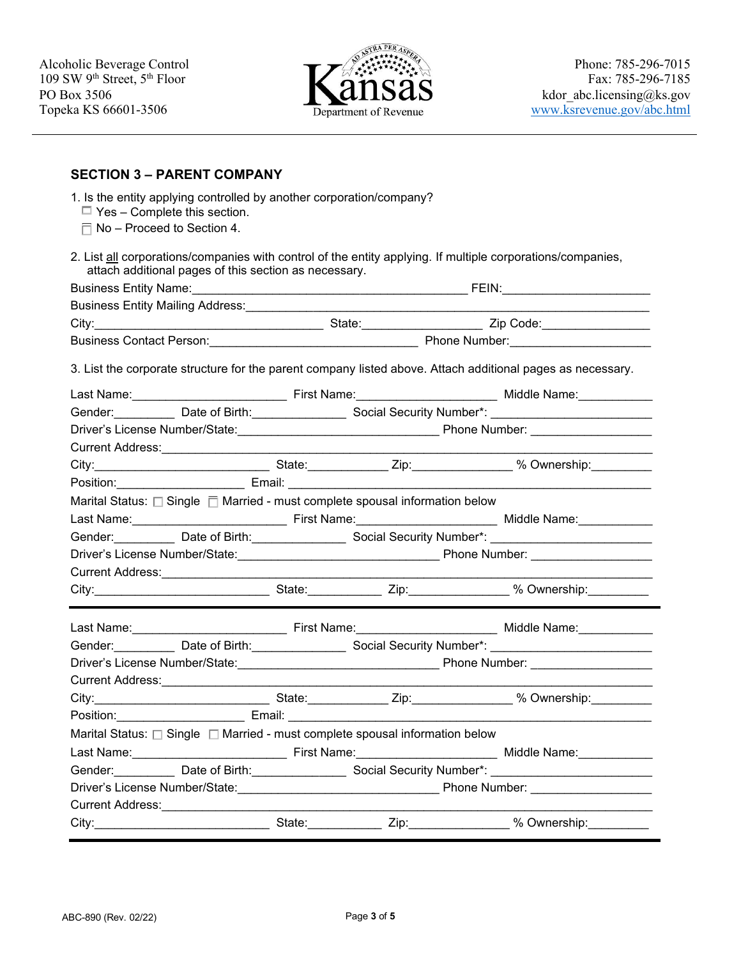

### **SECTION 3 – PARENT COMPANY**

| 2. List all corporations/companies with control of the entity applying. If multiple corporations/companies,<br>attach additional pages of this section as necessary.<br>3. List the corporate structure for the parent company listed above. Attach additional pages as necessary.<br>Gender: <b>Mate of Birth: Social Security Number*: Cander: Cander: Cander: Cander: Cander: Cander: Cander: Cander: Cander: Cander: Cander: Cander: Cander: Cander: Cander: Cander: Cander: Cander: Cander: Cander: Cander:</b><br>City:___________________________________State:_______________Zip:________________% Ownership:____________<br>Marital Status: $\square$ Single $\overline{\square}$ Married - must complete spousal information below<br>Gender: Date of Birth: Social Security Number*: Containment Containing the Date of Birth:<br>City:__________________________________State:_______________Zip:_________________% Ownership:____________<br>Gender: Date of Birth: Summan Social Security Number*: Communication Cender:<br>City:___________________________________State:_______________Zip:_________________% Ownership:___________<br>Marital Status: □ Single □ Married - must complete spousal information below<br>Last Name: Case of Last Name: Case of Last Name: Case of Middle Name: Case of Middle Name: Case of Middle Name<br>Gender: <b>Manual Contract Contract Contract Contract Contract Contract Contract Contract Contract Contract Contract Contract Contract Contract Contract Contract Contract Contract Contract Contract Contract Contract Contract</b><br>Current Address: 2008 2009 2010 2020 2021 2022 2023 2024 2022 2022 2023 2024 2022 2023 2024 2022 2023 2024 20<br>City:_________________________________State:_______________Zip:_________________% Ownership:_____________ | 1. Is the entity applying controlled by another corporation/company?<br>$\Box$ Yes – Complete this section.<br>$\Box$ No – Proceed to Section 4. |  |  |  |
|-----------------------------------------------------------------------------------------------------------------------------------------------------------------------------------------------------------------------------------------------------------------------------------------------------------------------------------------------------------------------------------------------------------------------------------------------------------------------------------------------------------------------------------------------------------------------------------------------------------------------------------------------------------------------------------------------------------------------------------------------------------------------------------------------------------------------------------------------------------------------------------------------------------------------------------------------------------------------------------------------------------------------------------------------------------------------------------------------------------------------------------------------------------------------------------------------------------------------------------------------------------------------------------------------------------------------------------------------------------------------------------------------------------------------------------------------------------------------------------------------------------------------------------------------------------------------------------------------------------------------------------------------------------------------------------------------------------------------------------------------------------------------------------------------------------------------------|--------------------------------------------------------------------------------------------------------------------------------------------------|--|--|--|
|                                                                                                                                                                                                                                                                                                                                                                                                                                                                                                                                                                                                                                                                                                                                                                                                                                                                                                                                                                                                                                                                                                                                                                                                                                                                                                                                                                                                                                                                                                                                                                                                                                                                                                                                                                                                                             |                                                                                                                                                  |  |  |  |
|                                                                                                                                                                                                                                                                                                                                                                                                                                                                                                                                                                                                                                                                                                                                                                                                                                                                                                                                                                                                                                                                                                                                                                                                                                                                                                                                                                                                                                                                                                                                                                                                                                                                                                                                                                                                                             |                                                                                                                                                  |  |  |  |
|                                                                                                                                                                                                                                                                                                                                                                                                                                                                                                                                                                                                                                                                                                                                                                                                                                                                                                                                                                                                                                                                                                                                                                                                                                                                                                                                                                                                                                                                                                                                                                                                                                                                                                                                                                                                                             |                                                                                                                                                  |  |  |  |
|                                                                                                                                                                                                                                                                                                                                                                                                                                                                                                                                                                                                                                                                                                                                                                                                                                                                                                                                                                                                                                                                                                                                                                                                                                                                                                                                                                                                                                                                                                                                                                                                                                                                                                                                                                                                                             |                                                                                                                                                  |  |  |  |
|                                                                                                                                                                                                                                                                                                                                                                                                                                                                                                                                                                                                                                                                                                                                                                                                                                                                                                                                                                                                                                                                                                                                                                                                                                                                                                                                                                                                                                                                                                                                                                                                                                                                                                                                                                                                                             |                                                                                                                                                  |  |  |  |
|                                                                                                                                                                                                                                                                                                                                                                                                                                                                                                                                                                                                                                                                                                                                                                                                                                                                                                                                                                                                                                                                                                                                                                                                                                                                                                                                                                                                                                                                                                                                                                                                                                                                                                                                                                                                                             |                                                                                                                                                  |  |  |  |
|                                                                                                                                                                                                                                                                                                                                                                                                                                                                                                                                                                                                                                                                                                                                                                                                                                                                                                                                                                                                                                                                                                                                                                                                                                                                                                                                                                                                                                                                                                                                                                                                                                                                                                                                                                                                                             |                                                                                                                                                  |  |  |  |
|                                                                                                                                                                                                                                                                                                                                                                                                                                                                                                                                                                                                                                                                                                                                                                                                                                                                                                                                                                                                                                                                                                                                                                                                                                                                                                                                                                                                                                                                                                                                                                                                                                                                                                                                                                                                                             |                                                                                                                                                  |  |  |  |
|                                                                                                                                                                                                                                                                                                                                                                                                                                                                                                                                                                                                                                                                                                                                                                                                                                                                                                                                                                                                                                                                                                                                                                                                                                                                                                                                                                                                                                                                                                                                                                                                                                                                                                                                                                                                                             |                                                                                                                                                  |  |  |  |
|                                                                                                                                                                                                                                                                                                                                                                                                                                                                                                                                                                                                                                                                                                                                                                                                                                                                                                                                                                                                                                                                                                                                                                                                                                                                                                                                                                                                                                                                                                                                                                                                                                                                                                                                                                                                                             |                                                                                                                                                  |  |  |  |
|                                                                                                                                                                                                                                                                                                                                                                                                                                                                                                                                                                                                                                                                                                                                                                                                                                                                                                                                                                                                                                                                                                                                                                                                                                                                                                                                                                                                                                                                                                                                                                                                                                                                                                                                                                                                                             |                                                                                                                                                  |  |  |  |
|                                                                                                                                                                                                                                                                                                                                                                                                                                                                                                                                                                                                                                                                                                                                                                                                                                                                                                                                                                                                                                                                                                                                                                                                                                                                                                                                                                                                                                                                                                                                                                                                                                                                                                                                                                                                                             |                                                                                                                                                  |  |  |  |
|                                                                                                                                                                                                                                                                                                                                                                                                                                                                                                                                                                                                                                                                                                                                                                                                                                                                                                                                                                                                                                                                                                                                                                                                                                                                                                                                                                                                                                                                                                                                                                                                                                                                                                                                                                                                                             |                                                                                                                                                  |  |  |  |
|                                                                                                                                                                                                                                                                                                                                                                                                                                                                                                                                                                                                                                                                                                                                                                                                                                                                                                                                                                                                                                                                                                                                                                                                                                                                                                                                                                                                                                                                                                                                                                                                                                                                                                                                                                                                                             |                                                                                                                                                  |  |  |  |
|                                                                                                                                                                                                                                                                                                                                                                                                                                                                                                                                                                                                                                                                                                                                                                                                                                                                                                                                                                                                                                                                                                                                                                                                                                                                                                                                                                                                                                                                                                                                                                                                                                                                                                                                                                                                                             |                                                                                                                                                  |  |  |  |
|                                                                                                                                                                                                                                                                                                                                                                                                                                                                                                                                                                                                                                                                                                                                                                                                                                                                                                                                                                                                                                                                                                                                                                                                                                                                                                                                                                                                                                                                                                                                                                                                                                                                                                                                                                                                                             |                                                                                                                                                  |  |  |  |
|                                                                                                                                                                                                                                                                                                                                                                                                                                                                                                                                                                                                                                                                                                                                                                                                                                                                                                                                                                                                                                                                                                                                                                                                                                                                                                                                                                                                                                                                                                                                                                                                                                                                                                                                                                                                                             |                                                                                                                                                  |  |  |  |
|                                                                                                                                                                                                                                                                                                                                                                                                                                                                                                                                                                                                                                                                                                                                                                                                                                                                                                                                                                                                                                                                                                                                                                                                                                                                                                                                                                                                                                                                                                                                                                                                                                                                                                                                                                                                                             |                                                                                                                                                  |  |  |  |
|                                                                                                                                                                                                                                                                                                                                                                                                                                                                                                                                                                                                                                                                                                                                                                                                                                                                                                                                                                                                                                                                                                                                                                                                                                                                                                                                                                                                                                                                                                                                                                                                                                                                                                                                                                                                                             |                                                                                                                                                  |  |  |  |
|                                                                                                                                                                                                                                                                                                                                                                                                                                                                                                                                                                                                                                                                                                                                                                                                                                                                                                                                                                                                                                                                                                                                                                                                                                                                                                                                                                                                                                                                                                                                                                                                                                                                                                                                                                                                                             |                                                                                                                                                  |  |  |  |
|                                                                                                                                                                                                                                                                                                                                                                                                                                                                                                                                                                                                                                                                                                                                                                                                                                                                                                                                                                                                                                                                                                                                                                                                                                                                                                                                                                                                                                                                                                                                                                                                                                                                                                                                                                                                                             |                                                                                                                                                  |  |  |  |
|                                                                                                                                                                                                                                                                                                                                                                                                                                                                                                                                                                                                                                                                                                                                                                                                                                                                                                                                                                                                                                                                                                                                                                                                                                                                                                                                                                                                                                                                                                                                                                                                                                                                                                                                                                                                                             |                                                                                                                                                  |  |  |  |
|                                                                                                                                                                                                                                                                                                                                                                                                                                                                                                                                                                                                                                                                                                                                                                                                                                                                                                                                                                                                                                                                                                                                                                                                                                                                                                                                                                                                                                                                                                                                                                                                                                                                                                                                                                                                                             |                                                                                                                                                  |  |  |  |
|                                                                                                                                                                                                                                                                                                                                                                                                                                                                                                                                                                                                                                                                                                                                                                                                                                                                                                                                                                                                                                                                                                                                                                                                                                                                                                                                                                                                                                                                                                                                                                                                                                                                                                                                                                                                                             |                                                                                                                                                  |  |  |  |
|                                                                                                                                                                                                                                                                                                                                                                                                                                                                                                                                                                                                                                                                                                                                                                                                                                                                                                                                                                                                                                                                                                                                                                                                                                                                                                                                                                                                                                                                                                                                                                                                                                                                                                                                                                                                                             |                                                                                                                                                  |  |  |  |
|                                                                                                                                                                                                                                                                                                                                                                                                                                                                                                                                                                                                                                                                                                                                                                                                                                                                                                                                                                                                                                                                                                                                                                                                                                                                                                                                                                                                                                                                                                                                                                                                                                                                                                                                                                                                                             |                                                                                                                                                  |  |  |  |
|                                                                                                                                                                                                                                                                                                                                                                                                                                                                                                                                                                                                                                                                                                                                                                                                                                                                                                                                                                                                                                                                                                                                                                                                                                                                                                                                                                                                                                                                                                                                                                                                                                                                                                                                                                                                                             |                                                                                                                                                  |  |  |  |
|                                                                                                                                                                                                                                                                                                                                                                                                                                                                                                                                                                                                                                                                                                                                                                                                                                                                                                                                                                                                                                                                                                                                                                                                                                                                                                                                                                                                                                                                                                                                                                                                                                                                                                                                                                                                                             |                                                                                                                                                  |  |  |  |
|                                                                                                                                                                                                                                                                                                                                                                                                                                                                                                                                                                                                                                                                                                                                                                                                                                                                                                                                                                                                                                                                                                                                                                                                                                                                                                                                                                                                                                                                                                                                                                                                                                                                                                                                                                                                                             |                                                                                                                                                  |  |  |  |
|                                                                                                                                                                                                                                                                                                                                                                                                                                                                                                                                                                                                                                                                                                                                                                                                                                                                                                                                                                                                                                                                                                                                                                                                                                                                                                                                                                                                                                                                                                                                                                                                                                                                                                                                                                                                                             |                                                                                                                                                  |  |  |  |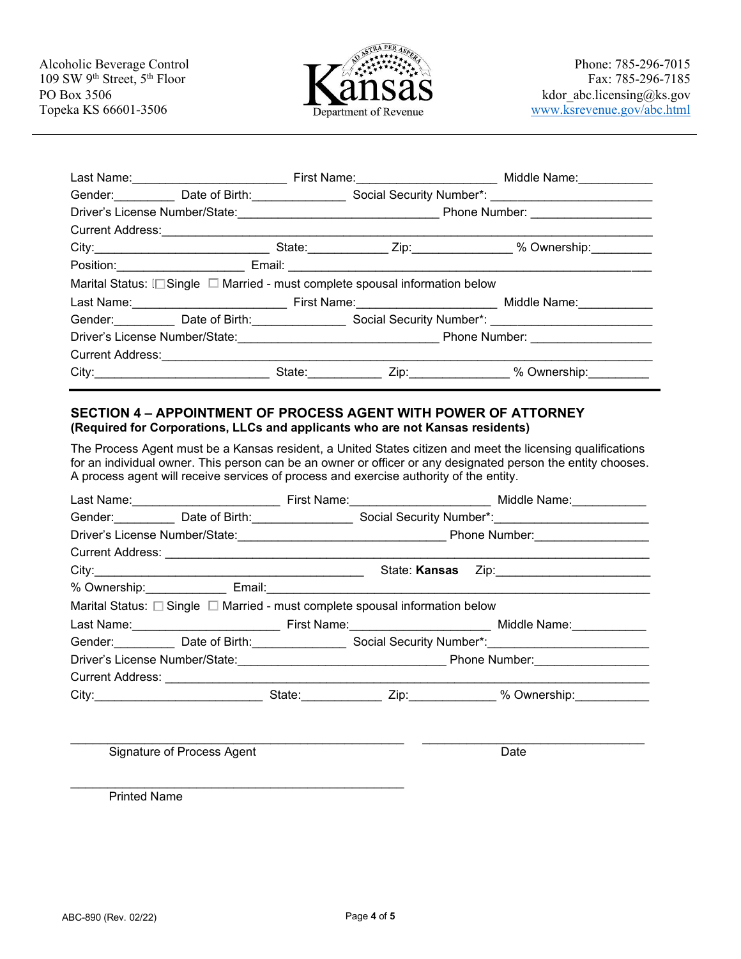

| First Name: Middle Name: Middle Name:                                                                                                                                                                                          |
|--------------------------------------------------------------------------------------------------------------------------------------------------------------------------------------------------------------------------------|
| Gender:____________Date of Birth:__________________Social Security Number*: _______________________                                                                                                                            |
|                                                                                                                                                                                                                                |
|                                                                                                                                                                                                                                |
| City:_______________________________State:_____________Zip:_________________% Ownership:___________                                                                                                                            |
|                                                                                                                                                                                                                                |
|                                                                                                                                                                                                                                |
|                                                                                                                                                                                                                                |
| Gender: Date of Birth: Social Security Number*: Connection 2014                                                                                                                                                                |
|                                                                                                                                                                                                                                |
|                                                                                                                                                                                                                                |
| State: Zip: 7.1 Xip: 7.1 Xip: 7.1 Xip: 7.1 Xip: 7.1 Xip: 7.1 Xip: 7.1 Xip: 7.1 Xip: 7.1 Xip: 7.1 Xip: 7.1 Xip: 7.1 Xip: 7.1 Xip: 7.1 Xip: 7.1 Xip: 7.1 Xip: 7.1 Xip: 7.1 Xip: 7.1 Xip: 7.1 Xip: 7.1 Xip: 7.1 Xip: 7.1 Xip: 7.1 |
|                                                                                                                                                                                                                                |

#### **SECTION 4 – APPOINTMENT OF PROCESS AGENT WITH POWER OF ATTORNEY (Required for Corporations, LLCs and applicants who are not Kansas residents)**

 The Process Agent must be a Kansas resident, a United States citizen and meet the licensing qualifications for an individual owner. This person can be an owner or officer or any designated person the entity chooses. A process agent will receive services of process and exercise authority of the entity.

| Last Name: ____________________________                                                                                                                                                                                              |  |                                                                                        | First Name: _________________________________ Middle Name: ______________                                       |
|--------------------------------------------------------------------------------------------------------------------------------------------------------------------------------------------------------------------------------------|--|----------------------------------------------------------------------------------------|-----------------------------------------------------------------------------------------------------------------|
|                                                                                                                                                                                                                                      |  |                                                                                        | Gender: Date of Birth: Superson Social Security Number*: Connection Connection Connection Connection Connection |
|                                                                                                                                                                                                                                      |  |                                                                                        |                                                                                                                 |
| Current Address: <u>Communication of the Current Address of the Current Address of the Current Address of the Current Current Address of the Current Current Current Current Current Current Current Current Current Current Cur</u> |  |                                                                                        |                                                                                                                 |
|                                                                                                                                                                                                                                      |  | State: <b>Kansas</b>                                                                   |                                                                                                                 |
|                                                                                                                                                                                                                                      |  |                                                                                        |                                                                                                                 |
|                                                                                                                                                                                                                                      |  | Marital Status: $\Box$ Single $\Box$ Married - must complete spousal information below |                                                                                                                 |
|                                                                                                                                                                                                                                      |  |                                                                                        |                                                                                                                 |
|                                                                                                                                                                                                                                      |  |                                                                                        | Gender:___________ Date of Birth:_________________ Social Security Number*:________________________             |
|                                                                                                                                                                                                                                      |  |                                                                                        |                                                                                                                 |
|                                                                                                                                                                                                                                      |  |                                                                                        |                                                                                                                 |
|                                                                                                                                                                                                                                      |  |                                                                                        | City:_____________________________State:_____________Zip:____________% Ownership:__________________             |

\_\_\_\_\_\_\_\_\_\_\_\_\_\_\_\_\_\_\_\_\_\_\_\_\_\_\_\_\_\_\_\_\_\_\_\_\_\_\_\_\_\_\_\_\_ \_\_\_\_\_\_\_\_\_\_\_\_\_\_\_\_\_\_\_\_\_\_\_\_\_\_\_\_\_\_

Signature of Process Agent **Date** 

\_\_\_\_\_\_\_\_\_\_\_\_\_\_\_\_\_\_\_\_\_\_\_\_\_\_\_\_\_\_\_\_\_\_\_\_\_\_\_\_\_\_\_\_\_ Printed Name